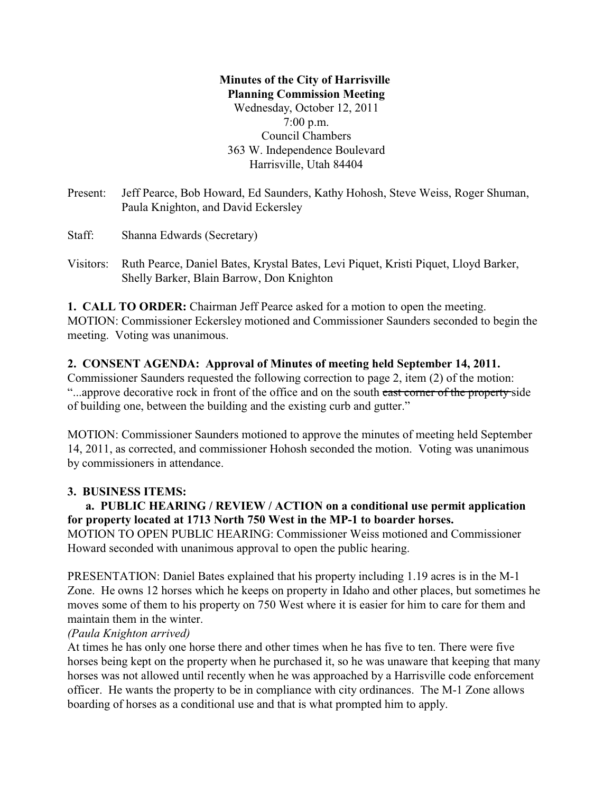## **Minutes of the City of Harrisville Planning Commission Meeting** Wednesday, October 12, 2011 7:00 p.m. Council Chambers 363 W. Independence Boulevard Harrisville, Utah 84404

Present: Jeff Pearce, Bob Howard, Ed Saunders, Kathy Hohosh, Steve Weiss, Roger Shuman, Paula Knighton, and David Eckersley

Staff: Shanna Edwards (Secretary)

Visitors: Ruth Pearce, Daniel Bates, Krystal Bates, Levi Piquet, Kristi Piquet, Lloyd Barker, Shelly Barker, Blain Barrow, Don Knighton

**1. CALL TO ORDER:** Chairman Jeff Pearce asked for a motion to open the meeting. MOTION: Commissioner Eckersley motioned and Commissioner Saunders seconded to begin the meeting. Voting was unanimous.

## **2. CONSENT AGENDA: Approval of Minutes of meeting held September 14, 2011.**

Commissioner Saunders requested the following correction to page 2, item (2) of the motion: ...approve decorative rock in front of the office and on the south east corner of the property side of building one, between the building and the existing curb and gutter."

MOTION: Commissioner Saunders motioned to approve the minutes of meeting held September 14, 2011, as corrected, and commissioner Hohosh seconded the motion. Voting was unanimous by commissioners in attendance.

## **3. BUSINESS ITEMS:**

# **a. PUBLIC HEARING / REVIEW / ACTION on a conditional use permit application for property located at 1713 North 750 West in the MP-1 to boarder horses.**

MOTION TO OPEN PUBLIC HEARING: Commissioner Weiss motioned and Commissioner Howard seconded with unanimous approval to open the public hearing.

PRESENTATION: Daniel Bates explained that his property including 1.19 acres is in the M-1 Zone. He owns 12 horses which he keeps on property in Idaho and other places, but sometimes he moves some of them to his property on 750 West where it is easier for him to care for them and maintain them in the winter.

## *(Paula Knighton arrived)*

At times he has only one horse there and other times when he has five to ten. There were five horses being kept on the property when he purchased it, so he was unaware that keeping that many horses was not allowed until recently when he was approached by a Harrisville code enforcement officer. He wants the property to be in compliance with city ordinances. The M-1 Zone allows boarding of horses as a conditional use and that is what prompted him to apply.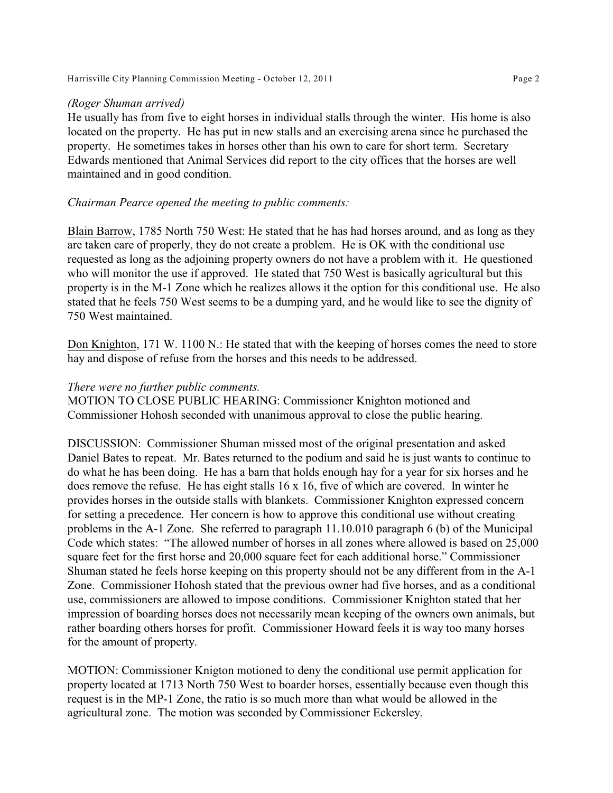Harrisville City Planning Commission Meeting - October 12, 2011 Page 2

#### *(Roger Shuman arrived)*

He usually has from five to eight horses in individual stalls through the winter. His home is also located on the property. He has put in new stalls and an exercising arena since he purchased the property. He sometimes takes in horses other than his own to care for short term. Secretary Edwards mentioned that Animal Services did report to the city offices that the horses are well maintained and in good condition.

#### *Chairman Pearce opened the meeting to public comments:*

Blain Barrow, 1785 North 750 West: He stated that he has had horses around, and as long as they are taken care of properly, they do not create a problem. He is OK with the conditional use requested as long as the adjoining property owners do not have a problem with it. He questioned who will monitor the use if approved. He stated that 750 West is basically agricultural but this property is in the M-1 Zone which he realizes allows it the option for this conditional use. He also stated that he feels 750 West seems to be a dumping yard, and he would like to see the dignity of 750 West maintained.

Don Knighton, 171 W. 1100 N.: He stated that with the keeping of horses comes the need to store hay and dispose of refuse from the horses and this needs to be addressed.

### *There were no further public comments.*

MOTION TO CLOSE PUBLIC HEARING: Commissioner Knighton motioned and Commissioner Hohosh seconded with unanimous approval to close the public hearing.

DISCUSSION: Commissioner Shuman missed most of the original presentation and asked Daniel Bates to repeat. Mr. Bates returned to the podium and said he is just wants to continue to do what he has been doing. He has a barn that holds enough hay for a year for six horses and he does remove the refuse. He has eight stalls 16 x 16, five of which are covered. In winter he provides horses in the outside stalls with blankets. Commissioner Knighton expressed concern for setting a precedence. Her concern is how to approve this conditional use without creating problems in the A-1 Zone. She referred to paragraph 11.10.010 paragraph 6 (b) of the Municipal Code which states: "The allowed number of horses in all zones where allowed is based on 25,000 square feet for the first horse and 20,000 square feet for each additional horse." Commissioner Shuman stated he feels horse keeping on this property should not be any different from in the A-1 Zone. Commissioner Hohosh stated that the previous owner had five horses, and as a conditional use, commissioners are allowed to impose conditions. Commissioner Knighton stated that her impression of boarding horses does not necessarily mean keeping of the owners own animals, but rather boarding others horses for profit. Commissioner Howard feels it is way too many horses for the amount of property.

MOTION: Commissioner Knigton motioned to deny the conditional use permit application for property located at 1713 North 750 West to boarder horses, essentially because even though this request is in the MP-1 Zone, the ratio is so much more than what would be allowed in the agricultural zone. The motion was seconded by Commissioner Eckersley.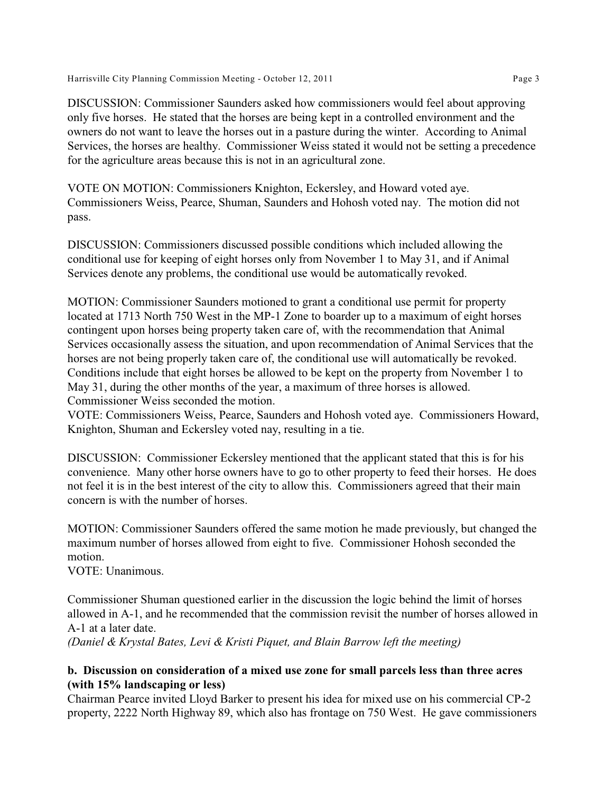Harrisville City Planning Commission Meeting - October 12, 2011 Page 3

DISCUSSION: Commissioner Saunders asked how commissioners would feel about approving only five horses. He stated that the horses are being kept in a controlled environment and the owners do not want to leave the horses out in a pasture during the winter. According to Animal Services, the horses are healthy. Commissioner Weiss stated it would not be setting a precedence for the agriculture areas because this is not in an agricultural zone.

VOTE ON MOTION: Commissioners Knighton, Eckersley, and Howard voted aye. Commissioners Weiss, Pearce, Shuman, Saunders and Hohosh voted nay. The motion did not pass.

DISCUSSION: Commissioners discussed possible conditions which included allowing the conditional use for keeping of eight horses only from November 1 to May 31, and if Animal Services denote any problems, the conditional use would be automatically revoked.

MOTION: Commissioner Saunders motioned to grant a conditional use permit for property located at 1713 North 750 West in the MP-1 Zone to boarder up to a maximum of eight horses contingent upon horses being property taken care of, with the recommendation that Animal Services occasionally assess the situation, and upon recommendation of Animal Services that the horses are not being properly taken care of, the conditional use will automatically be revoked. Conditions include that eight horses be allowed to be kept on the property from November 1 to May 31, during the other months of the year, a maximum of three horses is allowed. Commissioner Weiss seconded the motion.

VOTE: Commissioners Weiss, Pearce, Saunders and Hohosh voted aye. Commissioners Howard, Knighton, Shuman and Eckersley voted nay, resulting in a tie.

DISCUSSION: Commissioner Eckersley mentioned that the applicant stated that this is for his convenience. Many other horse owners have to go to other property to feed their horses. He does not feel it is in the best interest of the city to allow this. Commissioners agreed that their main concern is with the number of horses.

MOTION: Commissioner Saunders offered the same motion he made previously, but changed the maximum number of horses allowed from eight to five. Commissioner Hohosh seconded the motion.

VOTE: Unanimous.

Commissioner Shuman questioned earlier in the discussion the logic behind the limit of horses allowed in A-1, and he recommended that the commission revisit the number of horses allowed in A-1 at a later date. *(Daniel & Krystal Bates, Levi & Kristi Piquet, and Blain Barrow left the meeting)*

## **b. Discussion on consideration of a mixed use zone for small parcels less than three acres (with 15% landscaping or less)**

Chairman Pearce invited Lloyd Barker to present his idea for mixed use on his commercial CP-2 property, 2222 North Highway 89, which also has frontage on 750 West. He gave commissioners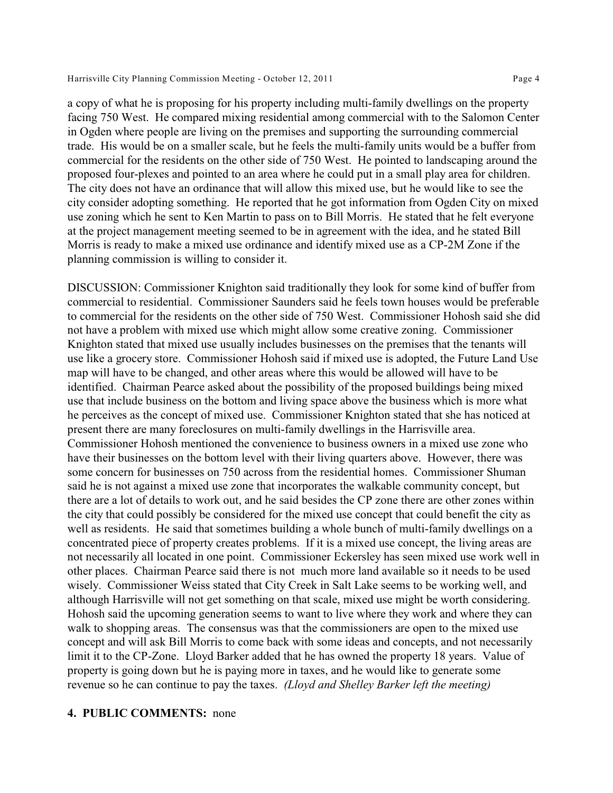a copy of what he is proposing for his property including multi-family dwellings on the property facing 750 West. He compared mixing residential among commercial with to the Salomon Center in Ogden where people are living on the premises and supporting the surrounding commercial trade. His would be on a smaller scale, but he feels the multi-family units would be a buffer from commercial for the residents on the other side of 750 West. He pointed to landscaping around the proposed four-plexes and pointed to an area where he could put in a small play area for children. The city does not have an ordinance that will allow this mixed use, but he would like to see the city consider adopting something. He reported that he got information from Ogden City on mixed use zoning which he sent to Ken Martin to pass on to Bill Morris. He stated that he felt everyone at the project management meeting seemed to be in agreement with the idea, and he stated Bill Morris is ready to make a mixed use ordinance and identify mixed use as a CP-2M Zone if the planning commission is willing to consider it.

DISCUSSION: Commissioner Knighton said traditionally they look for some kind of buffer from commercial to residential. Commissioner Saunders said he feels town houses would be preferable to commercial for the residents on the other side of 750 West. Commissioner Hohosh said she did not have a problem with mixed use which might allow some creative zoning. Commissioner Knighton stated that mixed use usually includes businesses on the premises that the tenants will use like a grocery store. Commissioner Hohosh said if mixed use is adopted, the Future Land Use map will have to be changed, and other areas where this would be allowed will have to be identified. Chairman Pearce asked about the possibility of the proposed buildings being mixed use that include business on the bottom and living space above the business which is more what he perceives as the concept of mixed use. Commissioner Knighton stated that she has noticed at present there are many foreclosures on multi-family dwellings in the Harrisville area. Commissioner Hohosh mentioned the convenience to business owners in a mixed use zone who have their businesses on the bottom level with their living quarters above. However, there was some concern for businesses on 750 across from the residential homes. Commissioner Shuman said he is not against a mixed use zone that incorporates the walkable community concept, but there are a lot of details to work out, and he said besides the CP zone there are other zones within the city that could possibly be considered for the mixed use concept that could benefit the city as well as residents. He said that sometimes building a whole bunch of multi-family dwellings on a concentrated piece of property creates problems. If it is a mixed use concept, the living areas are not necessarily all located in one point. Commissioner Eckersley has seen mixed use work well in other places. Chairman Pearce said there is not much more land available so it needs to be used wisely. Commissioner Weiss stated that City Creek in Salt Lake seems to be working well, and although Harrisville will not get something on that scale, mixed use might be worth considering. Hohosh said the upcoming generation seems to want to live where they work and where they can walk to shopping areas. The consensus was that the commissioners are open to the mixed use concept and will ask Bill Morris to come back with some ideas and concepts, and not necessarily limit it to the CP-Zone. Lloyd Barker added that he has owned the property 18 years. Value of property is going down but he is paying more in taxes, and he would like to generate some revenue so he can continue to pay the taxes. *(Lloyd and Shelley Barker left the meeting)*

#### **4. PUBLIC COMMENTS:** none